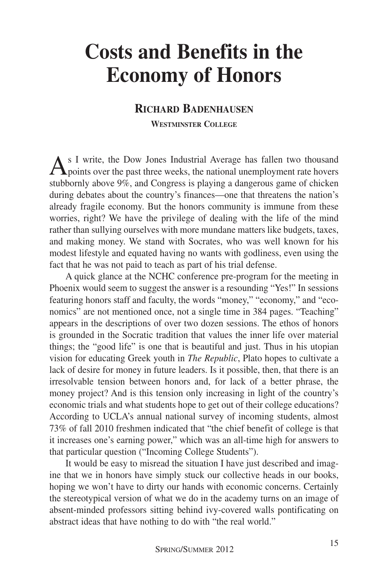## **Costs and Benefits in the Economy of Honors**

## **RICHARD BADENHAUSEN**

**WESTMINSTER COLLEGE**

As I write, the Dow Jones Industrial Average has fallen two thousand<br>points over the past three weeks, the national unemployment rate hovers stubbornly above 9%, and Congress is playing a dangerous game of chicken during debates about the country's finances—one that threatens the nation's already fragile economy. But the honors community is immune from these worries, right? We have the privilege of dealing with the life of the mind rather than sullying ourselves with more mundane matters like budgets, taxes, and making money. We stand with Socrates, who was well known for his modest lifestyle and equated having no wants with godliness, even using the fact that he was not paid to teach as part of his trial defense.

A quick glance at the NCHC conference pre-program for the meeting in Phoenix would seem to suggest the answer is a resounding "Yes!" In sessions featuring honors staff and faculty, the words "money," "economy," and "economics" are not mentioned once, not a single time in 384 pages. "Teaching" appears in the descriptions of over two dozen sessions. The ethos of honors is grounded in the Socratic tradition that values the inner life over material things; the "good life" is one that is beautiful and just. Thus in his utopian vision for educating Greek youth in *The Republic*, Plato hopes to cultivate a lack of desire for money in future leaders. Is it possible, then, that there is an irresolvable tension between honors and, for lack of a better phrase, the money project? And is this tension only increasing in light of the country's economic trials and what students hope to get out of their college educations? According to UCLA's annual national survey of incoming students, almost 73% of fall 2010 freshmen indicated that "the chief benefit of college is that it increases one's earning power," which was an all-time high for answers to that particular question ("Incoming College Students").

It would be easy to misread the situation I have just described and imagine that we in honors have simply stuck our collective heads in our books, hoping we won't have to dirty our hands with economic concerns. Certainly the stereotypical version of what we do in the academy turns on an image of absent-minded professors sitting behind ivy-covered walls pontificating on abstract ideas that have nothing to do with "the real world."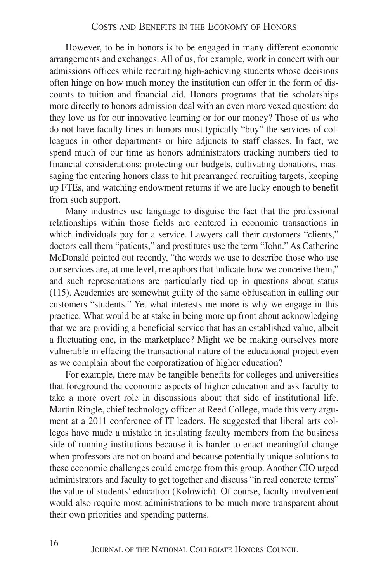However, to be in honors is to be engaged in many different economic arrangements and exchanges. All of us, for example, work in concert with our admissions offices while recruiting high-achieving students whose decisions often hinge on how much money the institution can offer in the form of discounts to tuition and financial aid. Honors programs that tie scholarships more directly to honors admission deal with an even more vexed question: do they love us for our innovative learning or for our money? Those of us who do not have faculty lines in honors must typically "buy" the services of colleagues in other departments or hire adjuncts to staff classes. In fact, we spend much of our time as honors administrators tracking numbers tied to financial considerations: protecting our budgets, cultivating donations, massaging the entering honors class to hit prearranged recruiting targets, keeping up FTEs, and watching endowment returns if we are lucky enough to benefit from such support.

Many industries use language to disguise the fact that the professional relationships within those fields are centered in economic transactions in which individuals pay for a service. Lawyers call their customers "clients," doctors call them "patients," and prostitutes use the term "John." As Catherine McDonald pointed out recently, "the words we use to describe those who use our services are, at one level, metaphors that indicate how we conceive them," and such representations are particularly tied up in questions about status (115). Academics are somewhat guilty of the same obfuscation in calling our customers "students." Yet what interests me more is why we engage in this practice. What would be at stake in being more up front about acknowledging that we are providing a beneficial service that has an established value, albeit a fluctuating one, in the marketplace? Might we be making ourselves more vulnerable in effacing the transactional nature of the educational project even as we complain about the corporatization of higher education?

For example, there may be tangible benefits for colleges and universities that foreground the economic aspects of higher education and ask faculty to take a more overt role in discussions about that side of institutional life. Martin Ringle, chief technology officer at Reed College, made this very argument at a 2011 conference of IT leaders. He suggested that liberal arts colleges have made a mistake in insulating faculty members from the business side of running institutions because it is harder to enact meaningful change when professors are not on board and because potentially unique solutions to these economic challenges could emerge from this group. Another CIO urged administrators and faculty to get together and discuss "in real concrete terms" the value of students' education (Kolowich). Of course, faculty involvement would also require most administrations to be much more transparent about their own priorities and spending patterns.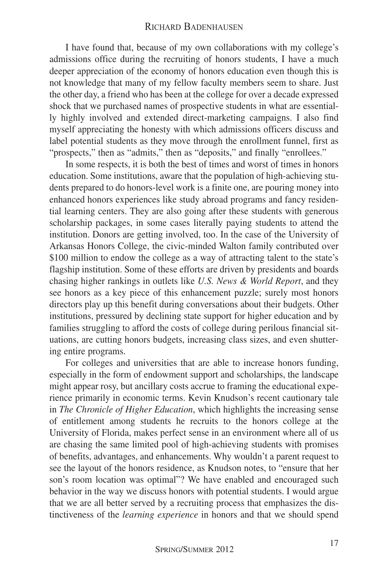I have found that, because of my own collaborations with my college's admissions office during the recruiting of honors students, I have a much deeper appreciation of the economy of honors education even though this is not knowledge that many of my fellow faculty members seem to share. Just the other day, a friend who has been at the college for over a decade expressed shock that we purchased names of prospective students in what are essentially highly involved and extended direct-marketing campaigns. I also find myself appreciating the honesty with which admissions officers discuss and label potential students as they move through the enrollment funnel, first as "prospects," then as "admits," then as "deposits," and finally "enrollees."

In some respects, it is both the best of times and worst of times in honors education. Some institutions, aware that the population of high-achieving students prepared to do honors-level work is a finite one, are pouring money into enhanced honors experiences like study abroad programs and fancy residential learning centers. They are also going after these students with generous scholarship packages, in some cases literally paying students to attend the institution. Donors are getting involved, too. In the case of the University of Arkansas Honors College, the civic-minded Walton family contributed over \$100 million to endow the college as a way of attracting talent to the state's flagship institution. Some of these efforts are driven by presidents and boards chasing higher rankings in outlets like *U.S. News & World Report*, and they see honors as a key piece of this enhancement puzzle; surely most honors directors play up this benefit during conversations about their budgets. Other institutions, pressured by declining state support for higher education and by families struggling to afford the costs of college during perilous financial situations, are cutting honors budgets, increasing class sizes, and even shuttering entire programs.

For colleges and universities that are able to increase honors funding, especially in the form of endowment support and scholarships, the landscape might appear rosy, but ancillary costs accrue to framing the educational experience primarily in economic terms. Kevin Knudson's recent cautionary tale in *The Chronicle of Higher Education*, which highlights the increasing sense of entitlement among students he recruits to the honors college at the University of Florida, makes perfect sense in an environment where all of us are chasing the same limited pool of high-achieving students with promises of benefits, advantages, and enhancements. Why wouldn't a parent request to see the layout of the honors residence, as Knudson notes, to "ensure that her son's room location was optimal"? We have enabled and encouraged such behavior in the way we discuss honors with potential students. I would argue that we are all better served by a recruiting process that emphasizes the distinctiveness of the *learning experience* in honors and that we should spend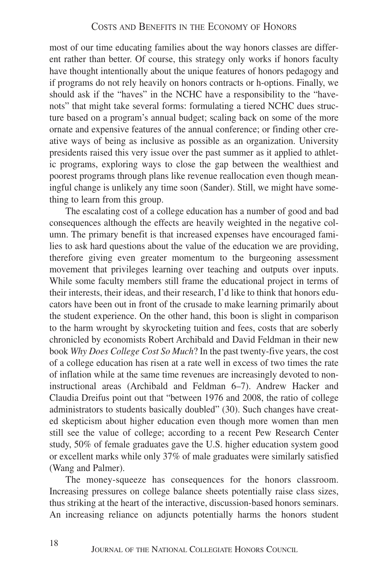most of our time educating families about the way honors classes are different rather than better. Of course, this strategy only works if honors faculty have thought intentionally about the unique features of honors pedagogy and if programs do not rely heavily on honors contracts or h-options. Finally, we should ask if the "haves" in the NCHC have a responsibility to the "havenots" that might take several forms: formulating a tiered NCHC dues structure based on a program's annual budget; scaling back on some of the more ornate and expensive features of the annual conference; or finding other creative ways of being as inclusive as possible as an organization. University presidents raised this very issue over the past summer as it applied to athletic programs, exploring ways to close the gap between the wealthiest and poorest programs through plans like revenue reallocation even though meaningful change is unlikely any time soon (Sander). Still, we might have something to learn from this group.

The escalating cost of a college education has a number of good and bad consequences although the effects are heavily weighted in the negative column. The primary benefit is that increased expenses have encouraged families to ask hard questions about the value of the education we are providing, therefore giving even greater momentum to the burgeoning assessment movement that privileges learning over teaching and outputs over inputs. While some faculty members still frame the educational project in terms of their interests, their ideas, and their research, I'd like to think that honors educators have been out in front of the crusade to make learning primarily about the student experience. On the other hand, this boon is slight in comparison to the harm wrought by skyrocketing tuition and fees, costs that are soberly chronicled by economists Robert Archibald and David Feldman in their new book *Why Does College Cost So Much*? In the past twenty-five years, the cost of a college education has risen at a rate well in excess of two times the rate of inflation while at the same time revenues are increasingly devoted to noninstructional areas (Archibald and Feldman 6–7). Andrew Hacker and Claudia Dreifus point out that "between 1976 and 2008, the ratio of college administrators to students basically doubled" (30). Such changes have created skepticism about higher education even though more women than men still see the value of college; according to a recent Pew Research Center study, 50% of female graduates gave the U.S. higher education system good or excellent marks while only 37% of male graduates were similarly satisfied (Wang and Palmer).

The money-squeeze has consequences for the honors classroom. Increasing pressures on college balance sheets potentially raise class sizes, thus striking at the heart of the interactive, discussion-based honors seminars. An increasing reliance on adjuncts potentially harms the honors student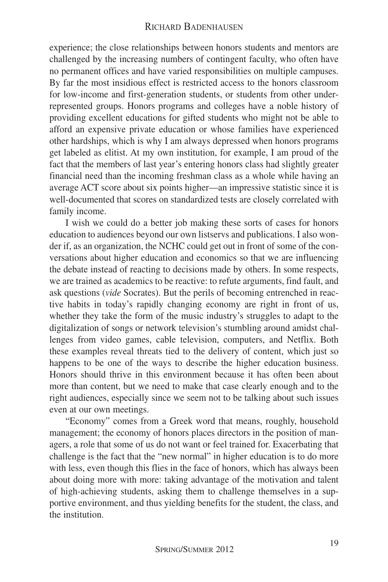experience; the close relationships between honors students and mentors are challenged by the increasing numbers of contingent faculty, who often have no permanent offices and have varied responsibilities on multiple campuses. By far the most insidious effect is restricted access to the honors classroom for low-income and first-generation students, or students from other underrepresented groups. Honors programs and colleges have a noble history of providing excellent educations for gifted students who might not be able to afford an expensive private education or whose families have experienced other hardships, which is why I am always depressed when honors programs get labeled as elitist. At my own institution, for example, I am proud of the fact that the members of last year's entering honors class had slightly greater financial need than the incoming freshman class as a whole while having an average ACT score about six points higher—an impressive statistic since it is well-documented that scores on standardized tests are closely correlated with family income.

I wish we could do a better job making these sorts of cases for honors education to audiences beyond our own listservs and publications. I also wonder if, as an organization, the NCHC could get out in front of some of the conversations about higher education and economics so that we are influencing the debate instead of reacting to decisions made by others. In some respects, we are trained as academics to be reactive: to refute arguments, find fault, and ask questions (*vide* Socrates). But the perils of becoming entrenched in reactive habits in today's rapidly changing economy are right in front of us, whether they take the form of the music industry's struggles to adapt to the digitalization of songs or network television's stumbling around amidst challenges from video games, cable television, computers, and Netflix. Both these examples reveal threats tied to the delivery of content, which just so happens to be one of the ways to describe the higher education business. Honors should thrive in this environment because it has often been about more than content, but we need to make that case clearly enough and to the right audiences, especially since we seem not to be talking about such issues even at our own meetings.

"Economy" comes from a Greek word that means, roughly, household management; the economy of honors places directors in the position of managers, a role that some of us do not want or feel trained for. Exacerbating that challenge is the fact that the "new normal" in higher education is to do more with less, even though this flies in the face of honors, which has always been about doing more with more: taking advantage of the motivation and talent of high-achieving students, asking them to challenge themselves in a supportive environment, and thus yielding benefits for the student, the class, and the institution.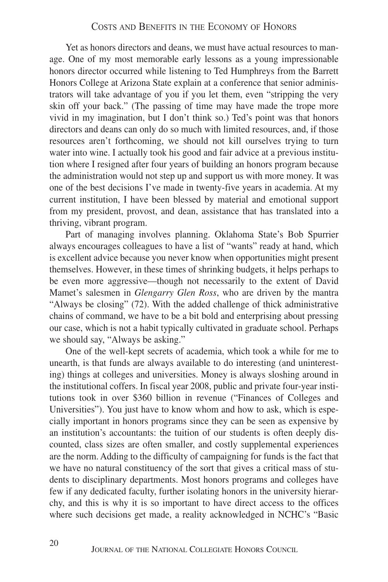Yet as honors directors and deans, we must have actual resources to manage. One of my most memorable early lessons as a young impressionable honors director occurred while listening to Ted Humphreys from the Barrett Honors College at Arizona State explain at a conference that senior administrators will take advantage of you if you let them, even "stripping the very skin off your back." (The passing of time may have made the trope more vivid in my imagination, but I don't think so.) Ted's point was that honors directors and deans can only do so much with limited resources, and, if those resources aren't forthcoming, we should not kill ourselves trying to turn water into wine. I actually took his good and fair advice at a previous institution where I resigned after four years of building an honors program because the administration would not step up and support us with more money. It was one of the best decisions I've made in twenty-five years in academia. At my current institution, I have been blessed by material and emotional support from my president, provost, and dean, assistance that has translated into a thriving, vibrant program.

Part of managing involves planning. Oklahoma State's Bob Spurrier always encourages colleagues to have a list of "wants" ready at hand, which is excellent advice because you never know when opportunities might present themselves. However, in these times of shrinking budgets, it helps perhaps to be even more aggressive—though not necessarily to the extent of David Mamet's salesmen in *Glengarry Glen Ross*, who are driven by the mantra "Always be closing" (72). With the added challenge of thick administrative chains of command, we have to be a bit bold and enterprising about pressing our case, which is not a habit typically cultivated in graduate school. Perhaps we should say, "Always be asking."

One of the well-kept secrets of academia, which took a while for me to unearth, is that funds are always available to do interesting (and uninteresting) things at colleges and universities. Money is always sloshing around in the institutional coffers. In fiscal year 2008, public and private four-year institutions took in over \$360 billion in revenue ("Finances of Colleges and Universities"). You just have to know whom and how to ask, which is especially important in honors programs since they can be seen as expensive by an institution's accountants: the tuition of our students is often deeply discounted, class sizes are often smaller, and costly supplemental experiences are the norm. Adding to the difficulty of campaigning for funds is the fact that we have no natural constituency of the sort that gives a critical mass of students to disciplinary departments. Most honors programs and colleges have few if any dedicated faculty, further isolating honors in the university hierarchy, and this is why it is so important to have direct access to the offices where such decisions get made, a reality acknowledged in NCHC's "Basic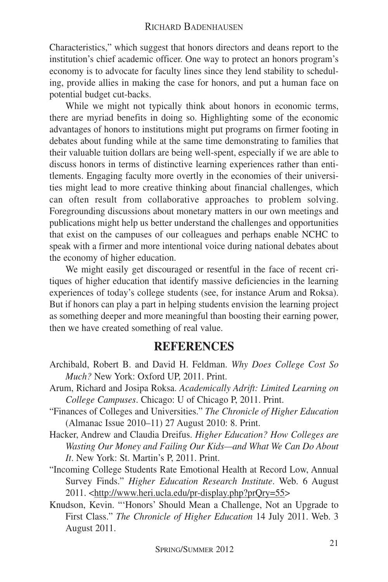Characteristics," which suggest that honors directors and deans report to the institution's chief academic officer. One way to protect an honors program's economy is to advocate for faculty lines since they lend stability to scheduling, provide allies in making the case for honors, and put a human face on potential budget cut-backs.

While we might not typically think about honors in economic terms, there are myriad benefits in doing so. Highlighting some of the economic advantages of honors to institutions might put programs on firmer footing in debates about funding while at the same time demonstrating to families that their valuable tuition dollars are being well-spent, especially if we are able to discuss honors in terms of distinctive learning experiences rather than entitlements. Engaging faculty more overtly in the economies of their universities might lead to more creative thinking about financial challenges, which can often result from collaborative approaches to problem solving. Foregrounding discussions about monetary matters in our own meetings and publications might help us better understand the challenges and opportunities that exist on the campuses of our colleagues and perhaps enable NCHC to speak with a firmer and more intentional voice during national debates about the economy of higher education.

We might easily get discouraged or resentful in the face of recent critiques of higher education that identify massive deficiencies in the learning experiences of today's college students (see, for instance Arum and Roksa). But if honors can play a part in helping students envision the learning project as something deeper and more meaningful than boosting their earning power, then we have created something of real value.

## **REFERENCES**

- Archibald, Robert B. and David H. Feldman. *Why Does College Cost So Much?* New York: Oxford UP, 2011. Print.
- Arum, Richard and Josipa Roksa. *Academically Adrift: Limited Learning on College Campuses*. Chicago: U of Chicago P, 2011. Print.
- "Finances of Colleges and Universities." *The Chronicle of Higher Education* (Almanac Issue 2010–11) 27 August 2010: 8. Print.
- Hacker, Andrew and Claudia Dreifus. *Higher Education? How Colleges are Wasting Our Money and Failing Our Kids—and What We Can Do About It*. New York: St. Martin's P, 2011. Print.
- "Incoming College Students Rate Emotional Health at Record Low, Annual Survey Finds." *Higher Education Research Institute*. Web. 6 August 2011. <http://www.heri.ucla.edu/pr-display.php?prQry=55>
- Knudson, Kevin. "'Honors' Should Mean a Challenge, Not an Upgrade to First Class." *The Chronicle of Higher Education* 14 July 2011. Web. 3 August 2011.